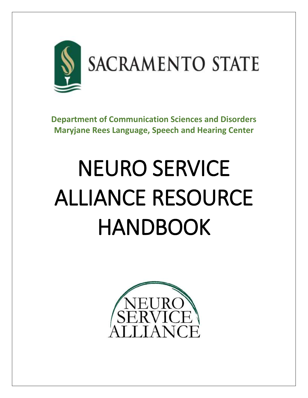

**Department of Communication Sciences and Disorders Maryjane Rees Language, Speech and Hearing Center**

# NEURO SERVICE ALLIANCE RESOURCE HANDBOOK

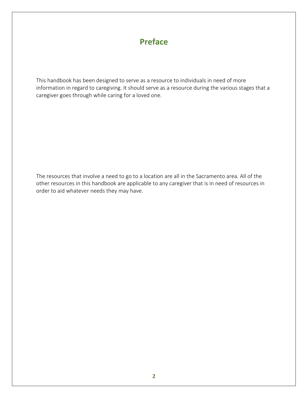# **Preface**

This handbook has been designed to serve as a resource to individuals in need of more information in regard to caregiving. It should serve as a resource during the various stages that a caregiver goes through while caring for a loved one.

The resources that involve a need to go to a location are all in the Sacramento area. All of the other resources in this handbook are applicable to any caregiver that is in need of resources in order to aid whatever needs they may have.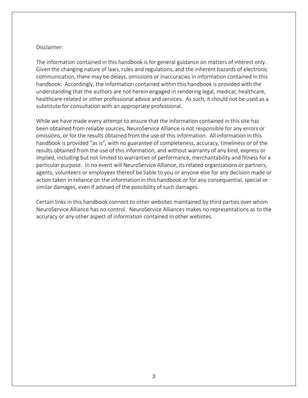#### Disclaimer:

The information contained in this handbook is for general guidance on matters of interest only. Given the changing nature of laws, rules and regulations, and the inherent hazards of electronic communication, there may be delays, omissions or inaccuracies in information contained in this handbook. Accordingly, the information contained within this handbook is provided with the understanding that the authors are not herein engaged in rendering legal, medical, healthcare, healthcare-related or other professional advice and services. As such, it should not be used as a substitute for consultation with an appropriate professional.

While we have made every attempt to ensure that the information contained in this site has been obtained from reliable sources, NeuroService Alliance is not responsible for any errors or omissions, or for the results obtained from the use of this information. All information in this handbook is provided "as is", with no guarantee of completeness, accuracy, timeliness or of the results obtained from the use of this information, and without warranty of any kind, express or implied, including but not limited to warranties of performance, merchantability and fitness for a particular purpose. In no event will NeuroService Alliance, its related organizations or partners, agents, volunteers or employees thereof be liable to you or anyone else for any decision made or action taken in reliance on the information in this handbook or for any consequential, special or similar damages, even if advised of the possibility of such damages.

Certain links in this handbook connect to other websites maintained by third parties over whom NeuroService Alliance has no control. NeuroService Alliances makes no representations as to the accuracy or any other aspect of information contained in other websites.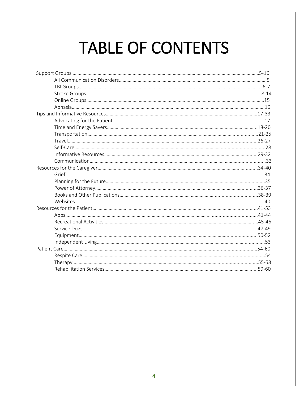# TABLE OF CONTENTS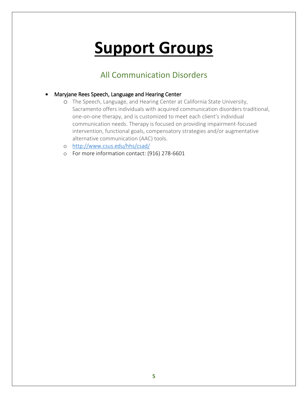# **Support Groups**

# All Communication Disorders

# Maryjane Rees Speech, Language and Hearing Center

- o The Speech, Language, and Hearing Center at California State University, Sacramento offers individuals with acquired communication disorders traditional, one-on-one therapy, and is customized to meet each client's individual communication needs. Therapy is focused on providing impairment-focused intervention, functional goals, compensatory strategies and/or augmentative alternative communication (AAC) tools.
- o <http://www.csus.edu/hhs/csad/>
- o For more information contact: (916) 278-6601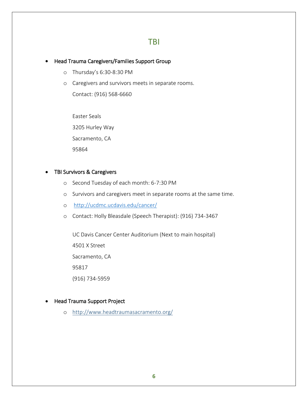# **TBI**

#### Head Trauma Caregivers/Families Support Group

- o Thursday's 6:30-8:30 PM
- o Caregivers and survivors meets in separate rooms. Contact: (916) 568-6660

Easter Seals 3205 Hurley Way Sacramento, CA

95864

#### TBI Survivors & Caregivers

- o Second Tuesday of each month: 6-7:30 PM
- o Survivors and caregivers meet in separate rooms at the same time.
- o <http://ucdmc.ucdavis.edu/cancer/>
- o Contact: Holly Bleasdale (Speech Therapist): (916) 734-3467

UC Davis Cancer Center Auditorium (Next to main hospital)

4501 X Street

Sacramento, CA

95817

(916) 734-5959

#### • Head Trauma Support Project

o <http://www.headtraumasacramento.org/>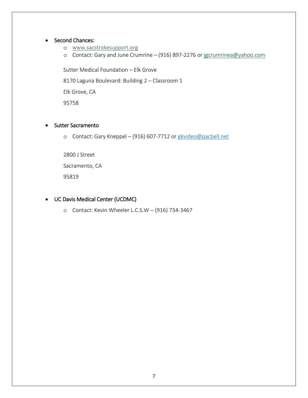#### • Second Chances:

- o [www.sacstrokesupport.org](http://www.sacstrokesupport.org/)
- o Contact: Gary and June Crumrine (916) 897-2276 or j[gcrumrinea@yahoo.com](mailto:jgcrumrinea@yahoo.com)

Sutter Medical Foundation – Elk Grove

8170 Laguna Boulevard: Building 2 – Classroom 1

Elk Grove, CA

95758

## • Sutter Sacramento

o Contact: Gary Kneppel – (916) 607-7712 or [gkvideo@pacbell.net](mailto:gkvideo@pacbell.net)

2800 J Street

Sacramento, CA

95819

# UC Davis Medical Center (UCDMC)

o Contact: Kevin Wheeler L.C.S.W – (916) 734-3467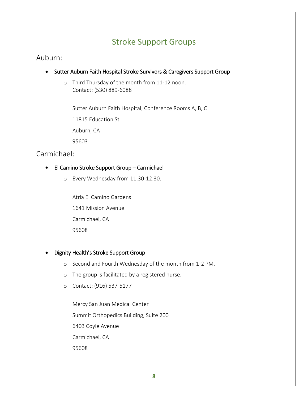# Stroke Support Groups

# Auburn:

- Sutter Auburn Faith Hospital Stroke Survivors & Caregivers Support Group
	- o Third Thursday of the month from 11-12 noon. Contact: (530) 889-6088

Sutter Auburn Faith Hospital, Conference Rooms A, B, C

11815 Education St.

Auburn, CA

95603

# Carmichael:

# El Camino Stroke Support Group – Carmichael

o Every Wednesday from 11:30-12:30.

Atria El Camino Gardens 1641 Mission Avenue Carmichael, CA 95608

# Dignity Health's Stroke Support Group

- o Second and Fourth Wednesday of the month from 1-2 PM.
- o The group is facilitated by a registered nurse.
- o Contact: (916) 537-5177

Mercy San Juan Medical Center Summit Orthopedics Building, Suite 200 6403 Coyle Avenue Carmichael, CA 95608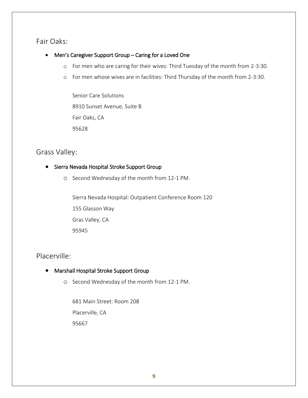# Fair Oaks:

- Men's Caregiver Support Group Caring for a Loved One
	- o For men who are caring for their wives: Third Tuesday of the month from 2-3:30.
	- o For men whose wives are in facilities: Third Thursday of the month from 2-3:30.

Senior Care Solutions 8910 Sunset Avenue, Suite B Fair Oaks, CA 95628

# Grass Valley:

# **•** Sierra Nevada Hospital Stroke Support Group

o Second Wednesday of the month from 12-1 PM.

Sierra Nevada Hospital: Outpatient Conference Room 120 155 Glasson Way Gras Valley, CA 95945

# Placerville:

# Marshall Hospital Stroke Support Group

o Second Wednesday of the month from 12-1 PM.

681 Main Street: Room 208 Placerville, CA 95667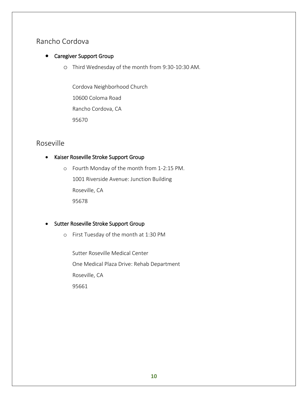# Rancho Cordova

# **•** Caregiver Support Group

o Third Wednesday of the month from 9:30-10:30 AM.

Cordova Neighborhood Church 10600 Coloma Road Rancho Cordova, CA 95670

# Roseville

# Kaiser Roseville Stroke Support Group

o Fourth Monday of the month from 1-2:15 PM. 1001 Riverside Avenue: Junction Building Roseville, CA 95678

# • Sutter Roseville Stroke Support Group

o First Tuesday of the month at 1:30 PM

Sutter Roseville Medical Center One Medical Plaza Drive: Rehab Department Roseville, CA 95661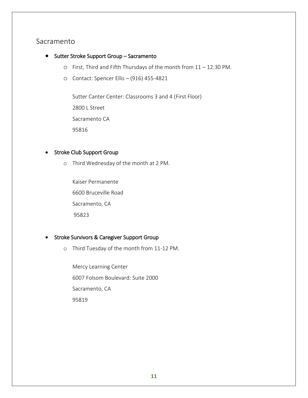# Sacramento

- Sutter Stroke Support Group Sacramento
	- o First, Third and Fifth Thursdays of the month from 11 12:30 PM.
	- o Contact: Spencer Ellis (916) 455-4821

Sutter Canter Center: Classrooms 3 and 4 (First Floor) 2800 L Street

Sacramento CA

95816

## • Stroke Club Support Group

o Third Wednesday of the month at 2 PM.

Kaiser Permanente 6600 Bruceville Road Sacramento, CA 95823

# • Stroke Survivors & Caregiver Support Group

o Third Tuesday of the month from 11-12 PM.

Mercy Learning Center 6007 Folsom Boulevard: Suite 2000 Sacramento, CA 95819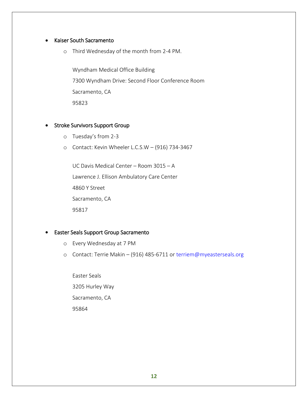## Kaiser South Sacramento

o Third Wednesday of the month from 2-4 PM.

Wyndham Medical Office Building 7300 Wyndham Drive: Second Floor Conference Room Sacramento, CA 95823

#### • Stroke Survivors Support Group

- o Tuesday's from 2-3
- o Contact: Kevin Wheeler L.C.S.W (916) 734-3467

UC Davis Medical Center – Room 3015 – A Lawrence J. Ellison Ambulatory Care Center 4860 Y Street Sacramento, CA 95817

#### Easter Seals Support Group Sacramento

- o Every Wednesday at 7 PM
- o Contact: Terrie Makin (916) 485-6711 or terriem@myeasterseals.org

Easter Seals 3205 Hurley Way Sacramento, CA 95864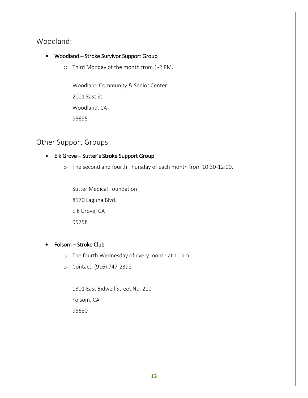# Woodland:

- Woodland Stroke Survivor Support Group
	- o Third Monday of the month from 1-2 PM.

Woodland Community & Senior Center 2001 East St. Woodland, CA 95695

# Other Support Groups

# Elk Grove – Sutter's Stroke Support Group

o The second and fourth Thursday of each month from 10:30-12:00.

Sutter Medical Foundation 8170 Laguna Blvd. Elk Grove, CA 95758

# Folsom – Stroke Club

- o The fourth Wednesday of every month at 11 am.
- o Contact: (916) 747-2392

1301 East Bidwell Street No. 210 Folsom, CA 95630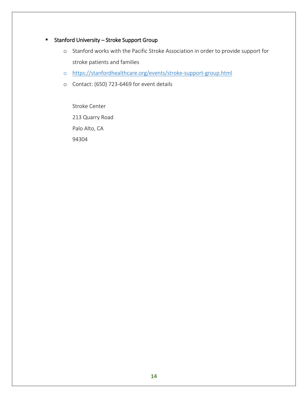# **E** Stanford University – Stroke Support Group

- o Stanford works with the Pacific Stroke Association in order to provide support for stroke patients and families
- o <https://stanfordhealthcare.org/events/stroke-support-group.html>
- o Contact: (650) 723-6469 for event details

Stroke Center 213 Quarry Road Palo Alto, CA 94304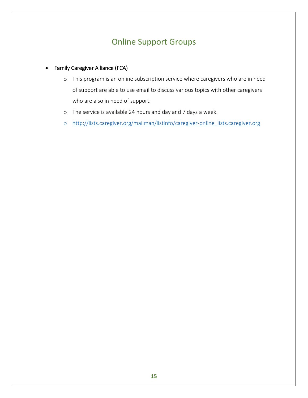# Online Support Groups

# Family Caregiver Alliance (FCA)

- o This program is an online subscription service where caregivers who are in need of support are able to use email to discuss various topics with other caregivers who are also in need of support.
- o The service is available 24 hours and day and 7 days a week.
- o [http://lists.caregiver.org/mailman/listinfo/caregiver-online\\_lists.caregiver.org](http://lists.caregiver.org/mailman/listinfo/caregiver-online_lists.caregiver.org)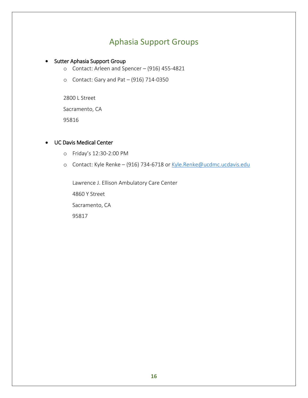# Aphasia Support Groups

#### • Sutter Aphasia Support Group

- o Contact: Arleen and Spencer (916) 455-4821
- o Contact: Gary and Pat (916) 714-0350

2800 L Street

Sacramento, CA

95816

#### UC Davis Medical Center

- o Friday's 12:30-2:00 PM
- o Contact: Kyle Renke (916) 734-6718 or [Kyle.Renke@ucdmc.ucdavis.edu](mailto:Kyle.Renke@ucdmc.ucdavis.edu)

Lawrence J. Ellison Ambulatory Care Center 4860 Y Street Sacramento, CA 95817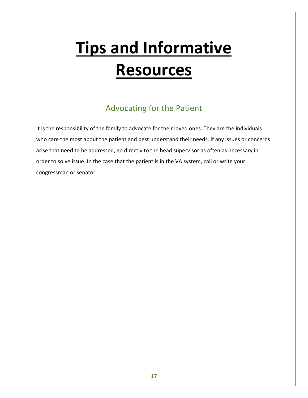# **Tips and Informative Resources**

# Advocating for the Patient

It is the responsibility of the family to advocate for their loved ones. They are the individuals who care the most about the patient and best understand their needs. If any issues or concerns arise that need to be addressed, go directly to the head supervisor as often as necessary in order to solve issue. In the case that the patient is in the VA system, call or write your congressman or senator.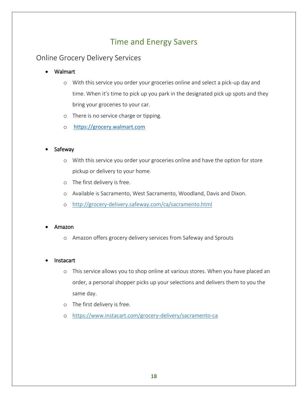# Time and Energy Savers

# Online Grocery Delivery Services

# Walmart

- o With this service you order your groceries online and select a pick-up day and time. When it's time to pick up you park in the designated pick up spots and they bring your groceries to your car.
- o There is no service charge or tipping.
- o [https://grocery.walmart.com](https://grocery.walmart.com/)

# Safeway

- o With this service you order your groceries online and have the option for store pickup or delivery to your home.
- o The first delivery is free.
- o Available is Sacramento, West Sacramento, Woodland, Davis and Dixon.
- o <http://grocery-delivery.safeway.com/ca/sacramento.html>

# Amazon

o Amazon offers grocery delivery services from Safeway and Sprouts

#### Instacart

- o This service allows you to shop online at various stores. When you have placed an order, a personal shopper picks up your selections and delivers them to you the same day.
- o The first delivery is free.
- o <https://www.instacart.com/grocery-delivery/sacramento-ca>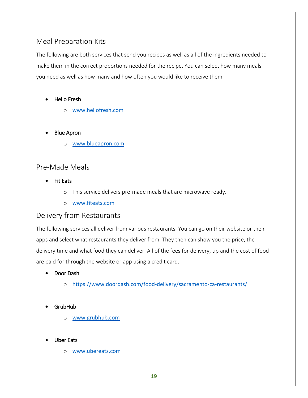# Meal Preparation Kits

The following are both services that send you recipes as well as all of the ingredients needed to make them in the correct proportions needed for the recipe. You can select how many meals you need as well as how many and how often you would like to receive them.

- Hello Fresh
	- o [www.hellofresh.com](http://www.hellofresh.com/)
- Blue Apron
	- o [www.blueapron.com](http://www.blueapron.com/)

# Pre-Made Meals

- Fit Eats
	- o This service delivers pre-made meals that are microwave ready.
	- o [www.fiteats.com](http://www.fiteats.com/)

# Delivery from Restaurants

The following services all deliver from various restaurants. You can go on their website or their apps and select what restaurants they deliver from. They then can show you the price, the delivery time and what food they can deliver. All of the fees for delivery, tip and the cost of food are paid for through the website or app using a credit card.

- Door Dash
	- o <https://www.doordash.com/food-delivery/sacramento-ca-restaurants/>
- GrubHub
	- o [www.grubhub.com](http://www.grubhub.com/)
- Uber Eats
	- o [www.ubereats.com](http://www.ubereats.com/)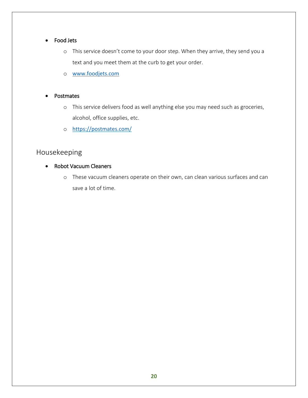## Food Jets

- o This service doesn't come to your door step. When they arrive, they send you a text and you meet them at the curb to get your order.
- o [www.foodjets.com](http://www.foodjets.com/)

## **Postmates**

- o This service delivers food as well anything else you may need such as groceries, alcohol, office supplies, etc.
- o <https://postmates.com/>

# Housekeeping

- Robot Vacuum Cleaners
	- o These vacuum cleaners operate on their own, can clean various surfaces and can save a lot of time.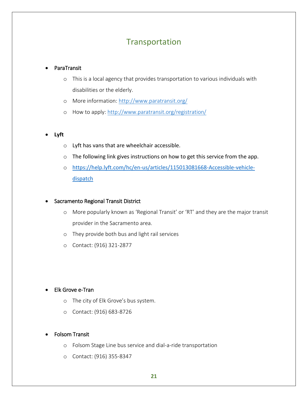# Transportation

#### ParaTransit

- o This is a local agency that provides transportation to various individuals with disabilities or the elderly.
- o More information:<http://www.paratransit.org/>
- o How to apply[: http://www.paratransit.org/registration/](http://www.paratransit.org/registration/)

## **Lyft**

- o Lyft has vans that are wheelchair accessible.
- $\circ$  The following link gives instructions on how to get this service from the app.
- o [https://help.lyft.com/hc/en-us/articles/115013081668-Accessible-vehicle](https://help.lyft.com/hc/en-us/articles/115013081668-Accessible-vehicle-dispatch)[dispatch](https://help.lyft.com/hc/en-us/articles/115013081668-Accessible-vehicle-dispatch)

#### Sacramento Regional Transit District

- o More popularly known as 'Regional Transit' or 'RT' and they are the major transit provider in the Sacramento area.
- o They provide both bus and light rail services
- o Contact: (916) 321-2877

#### Elk Grove e-Tran

- o The city of Elk Grove's bus system.
- o Contact: (916) 683-8726
- Folsom Transit
	- o Folsom Stage Line bus service and dial-a-ride transportation
	- o Contact: (916) 355-8347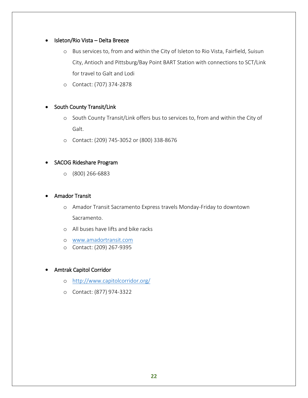#### Isleton/Rio Vista – Delta Breeze

- o Bus services to, from and within the City of Isleton to Rio Vista, Fairfield, Suisun City, Antioch and Pittsburg/Bay Point BART Station with connections to SCT/Link for travel to Galt and Lodi
- o Contact: (707) 374-2878

# • South County Transit/Link

- o South County Transit/Link offers bus to services to, from and within the City of Galt.
- o Contact: (209) 745-3052 or (800) 338-8676

# SACOG Rideshare Program

o (800) 266-6883

# Amador Transit

- o Amador Transit Sacramento Express travels Monday-Friday to downtown Sacramento.
- o All buses have lifts and bike racks
- o [www.amadortransit.com](http://www.amadortransit.com/)
- o Contact: (209) 267-9395

# Amtrak Capitol Corridor

- o <http://www.capitolcorridor.org/>
- o Contact: (877) 974-3322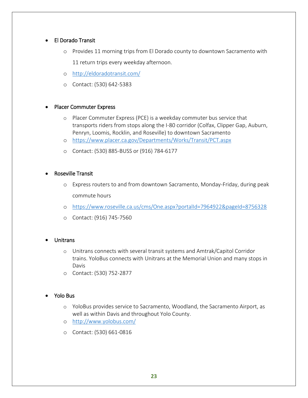## El Dorado Transit

- o Provides 11 morning trips from El Dorado county to downtown Sacramento with 11 return trips every weekday afternoon.
- o <http://eldoradotransit.com/>
- o Contact: (530) 642-5383

#### Placer Commuter Express

- o Placer Commuter Express (PCE) is a weekday commuter bus service that transports riders from stops along the I-80 corridor (Colfax, Clipper Gap, Auburn, Penryn, Loomis, Rocklin, and Roseville) to downtown Sacramento
- o <https://www.placer.ca.gov/Departments/Works/Transit/PCT.aspx>
- o Contact: (530) 885-BUSS or (916) 784-6177

#### Roseville Transit

- o Express routers to and from downtown Sacramento, Monday-Friday, during peak commute hours
- o <https://www.roseville.ca.us/cms/One.aspx?portalId=7964922&pageId=8756328>
- o Contact: (916) 745-7560

#### **Unitrans**

- o Unitrans connects with several transit systems and Amtrak/Capitol Corridor trains. YoloBus connects with Unitrans at the Memorial Union and many stops in Davis
- o Contact: (530) 752-2877

# Yolo Bus

- o YoloBus provides service to Sacramento, Woodland, the Sacramento Airport, as well as within Davis and throughout Yolo County.
- o <http://www.yolobus.com/>
- o Contact: (530) 661-0816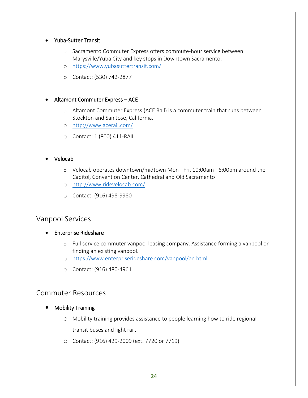### Yuba-Sutter Transit

- o Sacramento Commuter Express offers commute-hour service between Marysville/Yuba City and key stops in Downtown Sacramento.
- o <https://www.yubasuttertransit.com/>
- o Contact: (530) 742-2877

## Altamont Commuter Express – ACE

- o Altamont Commuter Express (ACE Rail) is a commuter train that runs between Stockton and San Jose, California.
- o <http://www.acerail.com/>
- o Contact: 1 (800) 411-RAIL

# Velocab

- o Velocab operates downtown/midtown Mon Fri, 10:00am 6:00pm around the Capitol, Convention Center, Cathedral and Old Sacramento
- o <http://www.ridevelocab.com/>
- o Contact: (916) 498-9980

# Vanpool Services

- **•** Enterprise Rideshare
	- o Full service commuter vanpool leasing company. Assistance forming a vanpool or finding an existing vanpool.
	- o <https://www.enterpriserideshare.com/vanpool/en.html>
	- o Contact: (916) 480-4961

# Commuter Resources

- **•** Mobility Training
	- o Mobility training provides assistance to people learning how to ride regional transit buses and light rail.
	- o Contact: (916) 429-2009 (ext. 7720 or 7719)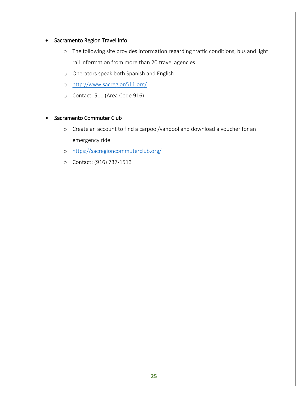## • Sacramento Region Travel Info

- o The following site provides information regarding traffic conditions, bus and light rail information from more than 20 travel agencies.
- o Operators speak both Spanish and English
- o <http://www.sacregion511.org/>
- o Contact: 511 (Area Code 916)

#### Sacramento Commuter Club

- o Create an account to find a carpool/vanpool and download a voucher for an emergency ride.
- o <https://sacregioncommuterclub.org/>
- o Contact: (916) 737-1513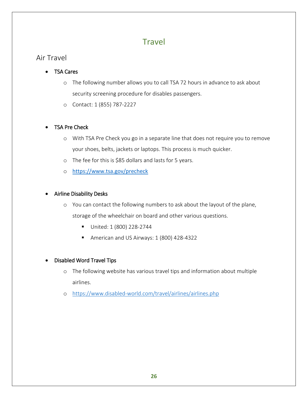# Travel

# Air Travel

# TSA Cares

- o The following number allows you to call TSA 72 hours in advance to ask about security screening procedure for disables passengers.
- o Contact: 1 (855) 787-2227

# TSA Pre Check

- o With TSA Pre Check you go in a separate line that does not require you to remove your shoes, belts, jackets or laptops. This process is much quicker.
- o The fee for this is \$85 dollars and lasts for 5 years.
- o <https://www.tsa.gov/precheck>

# Airline Disability Desks

o You can contact the following numbers to ask about the layout of the plane,

storage of the wheelchair on board and other various questions.

- United: 1 (800) 228-2744
- American and US Airways: 1 (800) 428-4322

# Disabled Word Travel Tips

- o The following website has various travel tips and information about multiple airlines.
- o <https://www.disabled-world.com/travel/airlines/airlines.php>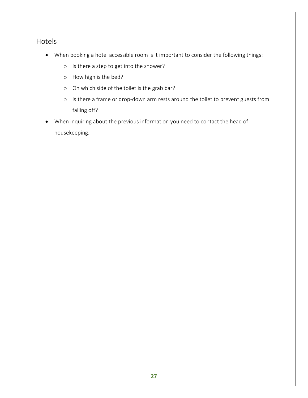# Hotels

- When booking a hotel accessible room is it important to consider the following things:
	- o Is there a step to get into the shower?
	- o How high is the bed?
	- o On which side of the toilet is the grab bar?
	- o Is there a frame or drop-down arm rests around the toilet to prevent guests from falling off?
- When inquiring about the previous information you need to contact the head of housekeeping.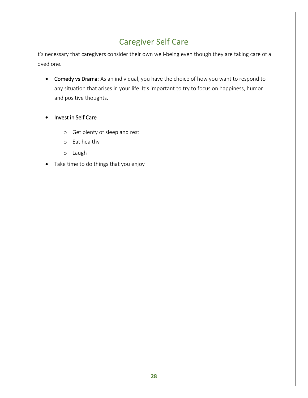# Caregiver Self Care

It's necessary that caregivers consider their own well-being even though they are taking care of a loved one.

- Comedy vs Drama: As an individual, you have the choice of how you want to respond to any situation that arises in your life. It's important to try to focus on happiness, humor and positive thoughts.
- Invest in Self Care
	- o Get plenty of sleep and rest
	- o Eat healthy
	- o Laugh
- Take time to do things that you enjoy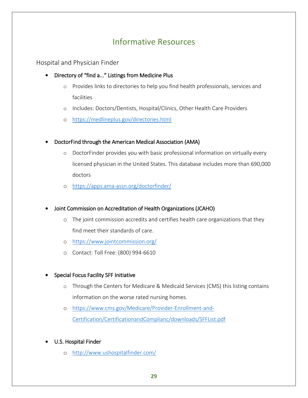# Informative Resources

Hospital and Physician Finder

- Directory of "find a..." Listings from Medicine Plus
	- o Provides links to directories to help you find health professionals, services and facilities
	- o Includes: Doctors/Dentists, Hospital/Clinics, Other Health Care Providers
	- o <https://medlineplus.gov/directories.html>

## DoctorFind through the American Medical Association (AMA)

- o DoctorFinder provides you with basic professional information on virtually every licensed physician in the United States. This database includes more than 690,000 doctors
- o <https://apps.ama-assn.org/doctorfinder/>

# Joint Commission on Accreditation of Health Organizations (JCAHO)

- o The joint commission accredits and certifies health care organizations that they find meet their standards of care.
- o <https://www.jointcommission.org/>
- o Contact: Toll Free: (800) 994-6610

#### Special Focus Facility SFF Initiative

- o Through the Centers for Medicare & Medicaid Services (CMS) this listing contains information on the worse rated nursing homes.
- o [https://www.cms.gov/Medicare/Provider-Enrollment-and-](https://www.cms.gov/Medicare/Provider-Enrollment-and-Certification/CertificationandComplianc/downloads/SFFList.pdf)[Certification/CertificationandComplianc/downloads/SFFList.pdf](https://www.cms.gov/Medicare/Provider-Enrollment-and-Certification/CertificationandComplianc/downloads/SFFList.pdf)
- U.S. Hospital Finder
	- o <http://www.ushospitalfinder.com/>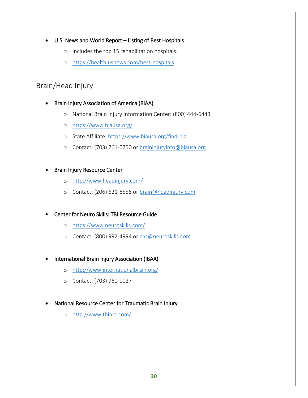- U.S. News and World Report Listing of Best Hospitals
	- o Includes the top 15 rehabilitation hospitals.
	- o <https://health.usnews.com/best-hospitals>

# Brain/Head Injury

- Brain Injury Association of America (BIAA)
	- o National Brain Injury Information Center: (800) 444-6443
	- o <https://www.biausa.org/>
	- o State Affiliate:<https://www.biausa.org/find-bia>
	- o Contact: (703) 761-0750 or [braininjuryinfo@biausa.org](mailto:braininjuryinfo@biausa.org)

## • Brain Injury Resource Center

- o <http://www.headinjury.com/>
- o Contact: (206) 621-8558 or [brain@headinjury.com](mailto:brain@headinjury.com)

# Center for Neuro Skills: TBI Resource Guide

- o <https://www.neuroskills.com/>
- o Contact: (800) 992-4994 or [cns@neuroskills.com](mailto:cns@neuroskills.com)

# • International Brain Injury Association (IBAA)

- o <http://www.internationalbrain.org/>
- o Contact: (703) 960-0027
- National Resource Center for Traumatic Brain Injury
	- o <http://www.tbinrc.com/>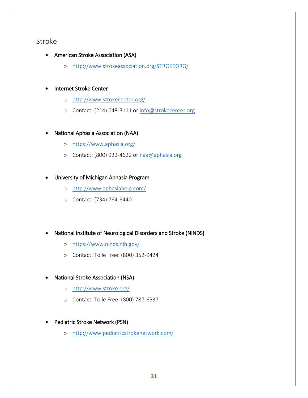# Stroke

- American Stroke Association (ASA)
	- o <http://www.strokeassociation.org/STROKEORG/>

# Internet Stroke Center

- o <http://www.strokecenter.org/>
- o Contact: (214) 648-3111 or [info@strokecenter.org](mailto:info@strokecenter.org)
- National Aphasia Association (NAA)
	- o <https://www.aphasia.org/>
	- o Contact: (800) 922-4622 or [naa@aphasia.org](mailto:naa@aphasia.org)

# University of Michigan Aphasia Program

- o <http://www.aphasiahelp.com/>
- o Contact: (734) 764-8440
- National Institute of Neurological Disorders and Stroke (NINDS)
	- o <https://www.ninds.nih.gov/>
	- o Contact: Tolle Free: (800) 352-9424
- National Stroke Association (NSA)
	- o <http://www.stroke.org/>
	- o Contact: Tolle Free: (800) 787-6537
- Pediatric Stroke Network (PSN)
	- o <http://www.pediatricstrokenetwork.com/>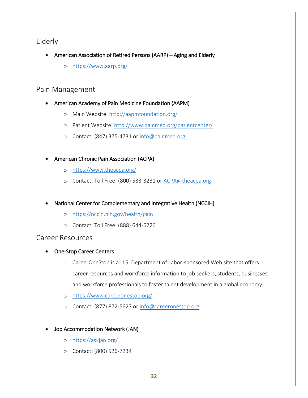# Elderly

- American Association of Retired Persons (AARP) Aging and Elderly
	- o <https://www.aarp.org/>

# Pain Management

- American Academy of Pain Medicine Foundation (AAPM)
	- o Main Website:<http://aapmfoundation.org/>
	- o Patient Website:<http://www.painmed.org/patientcenter/>
	- o Contact: (847) 375-4731 or [info@painmed.org](mailto:info@painmed.org)
- American Chronic Pain Association (ACPA)
	- o <https://www.theacpa.org/>
	- o Contact: Toll Free: (800) 533-3231 or [ACPA@theacpa.org](mailto:ACPA@theacpa.org)
- National Center for Complementary and Integrative Health (NCCIH)
	- o <https://nccih.nih.gov/health/pain>
	- o Contact: Toll Free: (888) 644-6226

# Career Resources

- One-Stop Career Centers
	- o CareerOneStop is a U.S. Department of Labor-sponsored Web site that offers career resources and workforce information to job seekers, students, businesses, and workforce professionals to foster talent development in a global economy
	- o <https://www.careeronestop.org/>
	- o Contact: (877) 872-5627 or [info@careeronestop.org](mailto:info@careeronestop.org)
- Job Accommodation Network (JAN)
	- o <https://askjan.org/>
	- o Contact: (800) 526-7234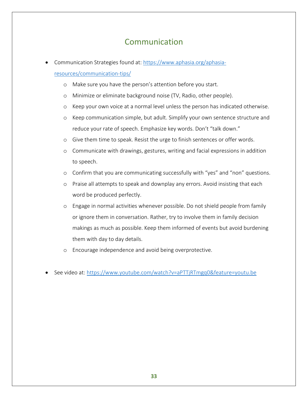# Communication

Communication Strategies found at[: https://www.aphasia.org/aphasia-](https://www.aphasia.org/aphasia-resources/communication-tips/)

[resources/communication-tips/](https://www.aphasia.org/aphasia-resources/communication-tips/)

- o Make sure you have the person's attention before you start.
- o Minimize or eliminate background noise (TV, Radio, other people).
- o Keep your own voice at a normal level unless the person has indicated otherwise.
- o Keep communication simple, but adult. Simplify your own sentence structure and reduce your rate of speech. Emphasize key words. Don't "talk down."
- o Give them time to speak. Resist the urge to finish sentences or offer words.
- o Communicate with drawings, gestures, writing and facial expressions in addition to speech.
- o Confirm that you are communicating successfully with "yes" and "non" questions.
- o Praise all attempts to speak and downplay any errors. Avoid insisting that each word be produced perfectly.
- o Engage in normal activities whenever possible. Do not shield people from family or ignore them in conversation. Rather, try to involve them in family decision makings as much as possible. Keep them informed of events but avoid burdening them with day to day details.
- o Encourage independence and avoid being overprotective.
- See video at:<https://www.youtube.com/watch?v=aPTTjRTmgq0&feature=youtu.be>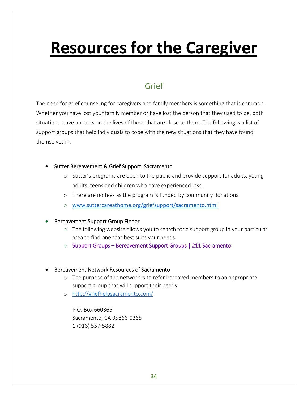# **Resources for the Caregiver**

# Grief

The need for grief counseling for caregivers and family members is something that is common. Whether you have lost your family member or have lost the person that they used to be, both situations leave impacts on the lives of those that are close to them. The following is a list of support groups that help individuals to cope with the new situations that they have found themselves in.

- Sutter Bereavement & Grief Support: Sacramento
	- o Sutter's programs are open to the public and provide support for adults, young adults, teens and children who have experienced loss.
	- o There are no fees as the program is funded by community donations.
	- o [www.suttercareathome.org/griefsupport/sacramento.html](http://www.suttercareathome.org/griefsupport/sacramento.html)

# Bereavement Support Group Finder

- $\circ$  The following website allows you to search for a support group in your particular area to find one that best suits your needs.
- o Support Groups – [Bereavement Support Groups | 211 Sacramento](http://www.211sacramento.org/211/online-database/categories/mental-health/bereavement-support/)

#### Bereavement Network Resources of Sacramento

- o The purpose of the network is to refer bereaved members to an appropriate support group that will support their needs.
- o <http://griefhelpsacramento.com/>

P.O. Box 660365 Sacramento, CA 95866-0365 1 (916) 557-5882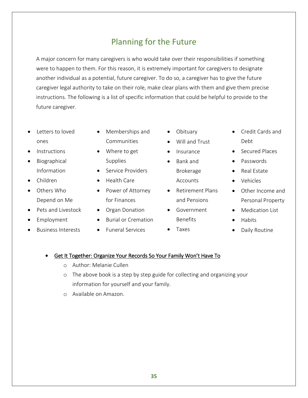# Planning for the Future

A major concern for many caregivers is who would take over their responsibilities if something were to happen to them. For this reason, it is extremely important for caregivers to designate another individual as a potential, future caregiver. To do so, a caregiver has to give the future caregiver legal authority to take on their role, make clear plans with them and give them precise instructions. The following is a list of specific information that could be helpful to provide to the future caregiver.

- Letters to loved ones
- Instructions
- Biographical Information
- Children
- Others Who Depend on Me
- Pets and Livestock
- Employment
- Business Interests
- Memberships and Communities
- Where to get Supplies
- Service Providers
- Health Care
- Power of Attorney for Finances
- Organ Donation
- Burial or Cremation
- Funeral Services
- Obituary
- Will and Trust
- $\bullet$  Insurance
- Bank and Brokerage

Accounts

- Retirement Plans and Pensions
- **•** Government Benefits
- Taxes
- Credit Cards and Debt
- Secured Places
- Passwords
- Real Estate
- Vehicles
- Other Income and Personal Property
- Medication List
- **Habits**
- Daily Routine

# Get It Together: Organize Your Records So Your Family Won't Have To

- o Author: Melanie Cullen
- o The above book is a step by step guide for collecting and organizing your information for yourself and your family.
- o Available on Amazon.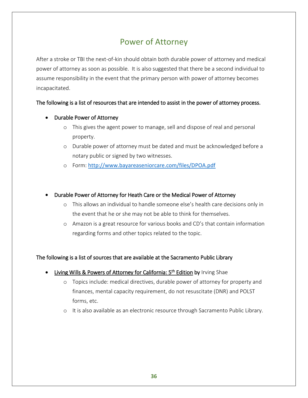# Power of Attorney

After a stroke or TBI the next-of-kin should obtain both durable power of attorney and medical power of attorney as soon as possible. It is also suggested that there be a second individual to assume responsibility in the event that the primary person with power of attorney becomes incapacitated.

# The following is a list of resources that are intended to assist in the power of attorney process.

- Durable Power of Attorney
	- o This gives the agent power to manage, sell and dispose of real and personal property.
	- o Durable power of attorney must be dated and must be acknowledged before a notary public or signed by two witnesses.
	- o Form: <http://www.bayareaseniorcare.com/files/DPOA.pdf>
- Durable Power of Attorney for Heath Care or the Medical Power of Attorney
	- o This allows an individual to handle someone else's health care decisions only in the event that he or she may not be able to think for themselves.
	- o Amazon is a great resource for various books and CD's that contain information regarding forms and other topics related to the topic.

# The following is a list of sources that are available at the Sacramento Public Library

- Living Wills & Powers of Attorney for California: 5<sup>th</sup> Edition by Irving Shae
	- o Topics include: medical directives, durable power of attorney for property and finances, mental capacity requirement, do not resuscitate (DNR) and POLST forms, etc.
	- o It is also available as an electronic resource through Sacramento Public Library.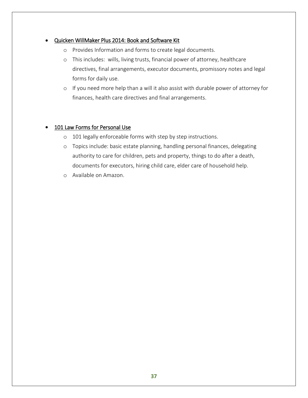# Quicken WillMaker Plus 2014: Book and Software Kit

- o Provides Information and forms to create legal documents.
- o This includes: wills, living trusts, financial power of attorney, healthcare directives, final arrangements, executor documents, promissory notes and legal forms for daily use.
- o If you need more help than a will it also assist with durable power of attorney for finances, health care directives and final arrangements.

# 101 Law Forms for Personal Use

- o 101 legally enforceable forms with step by step instructions.
- o Topics include: basic estate planning, handling personal finances, delegating authority to care for children, pets and property, things to do after a death, documents for executors, hiring child care, elder care of household help.
- o Available on Amazon.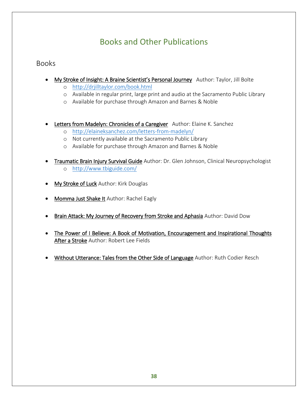# Books and Other Publications

# Books

- My Stroke of Insight: A Braine Scientist's Personal Journey Author: Taylor, Jill Bolte
	- o <http://drjilltaylor.com/book.html>
	- o Available in regular print, large print and audio at the Sacramento Public Library
	- o Available for purchase through Amazon and Barnes & Noble
- Letters from Madelyn: Chronicles of a Caregiver Author: Elaine K. Sanchez
	- o <http://elaineksanchez.com/letters-from-madelyn/>
	- o Not currently available at the Sacramento Public Library
	- o Available for purchase through Amazon and Barnes & Noble
- Traumatic Brain Injury Survival Guide Author: Dr. Glen Johnson, Clinical Neuropsychologist o <http://www.tbiguide.com/>
- My Stroke of Luck Author: Kirk Douglas
- Momma Just Shake It Author: Rachel Eagly
- Brain Attack: My Journey of Recovery from Stroke and Aphasia Author: David Dow
- The Power of I Believe: A Book of Motivation, Encouragement and Inspirational Thoughts After a Stroke Author: Robert Lee Fields
- Without Utterance: Tales from the Other Side of Language Author: Ruth Codier Resch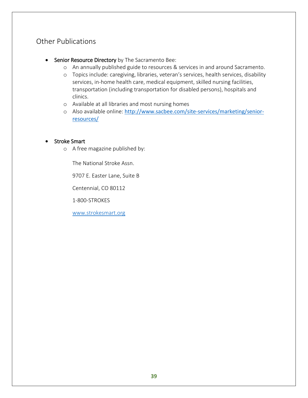# Other Publications

- **Senior Resource Directory** by The Sacramento Bee:
	- o An annually published guide to resources & services in and around Sacramento.
	- o Topics include: caregiving, libraries, veteran's services, health services, disability services, in-home health care, medical equipment, skilled nursing facilities, transportation (including transportation for disabled persons), hospitals and clinics.
	- o Available at all libraries and most nursing homes
	- o Also available online: [http://www.sacbee.com/site-services/marketing/senior](http://www.sacbee.com/site-services/marketing/senior-resources/)[resources/](http://www.sacbee.com/site-services/marketing/senior-resources/)

## Stroke Smart

o A free magazine published by:

The National Stroke Assn.

9707 E. Easter Lane, Suite B

Centennial, CO 80112

1-800-STROKES

[www.strokesmart.org](http://www.strokesmart.org/)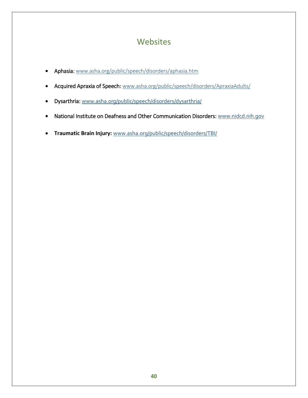# **Websites**

- Aphasia: [www.asha.org/public/speech/disorders/aphasia.htm](http://www.asha.org/public/speech/disorders/aphasia.htm)
- Acquired Apraxia of Speech: [www.asha.org/public/speech/disorders/ApraxiaAdults/](http://www.asha.org/public/speech/disorders/ApraxiaAdults/)
- Dysarthria: [www.asha.org/public/speech/disorders/dysarthria/](http://www.asha.org/public/speech/disorders/dysarthria/)
- National Institute on Deafness and Other Communication Disorders: [www.nidcd.nih.gov](http://www.nidcd.nih.gov/)
- **Traumatic Brain Injury:** [www.asha.org/public/speech/disorders/TBI/](http://www.asha.org/public/speech/disorders/TBI/)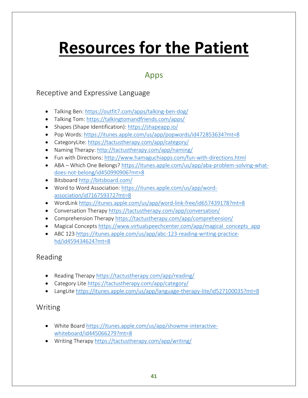# **Resources for the Patient**

# Apps

# Receptive and Expressive Language

- Talking Ben:<https://outfit7.com/apps/talking-ben-dog/>
- Talking Tom:<https://talkingtomandfriends.com/apps/>
- Shapes (Shape Identification):<https://shapeapp.io/>
- Pop Words:<https://itunes.apple.com/us/app/popwords/id472853634?mt=8>
- CategoryLite:<https://tactustherapy.com/app/category/>
- Naming Therapy:<http://tactustherapy.com/app/naming/>
- Fun with Directions:<http://www.hamaguchiapps.com/fun-with-directions.html>
- ABA Which One Belongs? [https://itunes.apple.com/us/app/aba-problem-solving-what](https://itunes.apple.com/us/app/aba-problem-solving-what-does-not-belong/id450990906?mt=8)[does-not-belong/id450990906?mt=8](https://itunes.apple.com/us/app/aba-problem-solving-what-does-not-belong/id450990906?mt=8)
- Bitsboard<http://bitsboard.com/>
- Word to Word Association: [https://itunes.apple.com/us/app/word](https://itunes.apple.com/us/app/word-association/id716759372?mt=8)[association/id716759372?mt=8](https://itunes.apple.com/us/app/word-association/id716759372?mt=8)
- WordLink <https://itunes.apple.com/us/app/word-link-free/id657439178?mt=8>
- Conversation Therapy<https://tactustherapy.com/app/conversation/>
- Comprehension Therapy <https://tactustherapy.com/app/comprehension/>
- Magical Concepts https://www.virtualspeechcenter.com/app/magical concepts app
- ABC 123 [https://itunes.apple.com/us/app/abc-123-reading-writing-practice](https://itunes.apple.com/us/app/abc-123-reading-writing-practice-hd/id459434624?mt=8)[hd/id459434624?mt=8](https://itunes.apple.com/us/app/abc-123-reading-writing-practice-hd/id459434624?mt=8)

# Reading

- Reading Therapy <https://tactustherapy.com/app/reading/>
- Category Lite<https://tactustherapy.com/app/category/>
- LangLite<https://itunes.apple.com/us/app/language-therapy-lite/id527100035?mt=8>

# Writing

- White Board [https://itunes.apple.com/us/app/showme-interactive](https://itunes.apple.com/us/app/showme-interactive-whiteboard/id445066279?mt=8)[whiteboard/id445066279?mt=8](https://itunes.apple.com/us/app/showme-interactive-whiteboard/id445066279?mt=8)
- Writing Therapy <https://tactustherapy.com/app/writing/>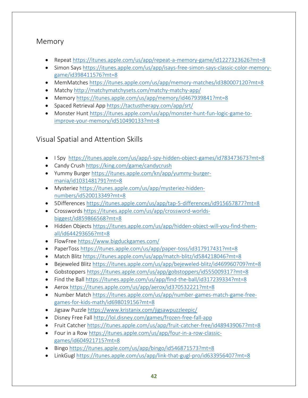# Memory

- Repeat<https://itunes.apple.com/us/app/repeat-a-memory-game/id1227323626?mt=8>
- Simon Says [https://itunes.apple.com/us/app/isays-free-simon-says-classic-color-memory](https://itunes.apple.com/us/app/isays-free-simon-says-classic-color-memory-game/id398411576?mt=8)[game/id398411576?mt=8](https://itunes.apple.com/us/app/isays-free-simon-says-classic-color-memory-game/id398411576?mt=8)
- MemMatches<https://itunes.apple.com/us/app/memory-matches/id380007120?mt=8>
- Matchy<http://matchymatchysets.com/matchy-matchy-app/>
- Memory<https://itunes.apple.com/us/app/memory/id467939841?mt=8>
- Spaced Retrieval App<https://tactustherapy.com/app/srt/>
- Monster Hunt [https://itunes.apple.com/us/app/monster-hunt-fun-logic-game-to](https://itunes.apple.com/us/app/monster-hunt-fun-logic-game-to-improve-your-memory/id510490133?mt=8)[improve-your-memory/id510490133?mt=8](https://itunes.apple.com/us/app/monster-hunt-fun-logic-game-to-improve-your-memory/id510490133?mt=8)

# Visual Spatial and Attention Skills

- I Spy <https://itunes.apple.com/us/app/i-spy-hidden-object-games/id783473673?mt=8>
- Candy Crush<https://king.com/game/candycrush>
- Yummy Burger [https://itunes.apple.com/kn/app/yummy-burger](https://itunes.apple.com/kn/app/yummy-burger-mania/id1031481791?mt=8)[mania/id1031481791?mt=8](https://itunes.apple.com/kn/app/yummy-burger-mania/id1031481791?mt=8)
- Mysteriez [https://itunes.apple.com/us/app/mysteriez-hidden](https://itunes.apple.com/us/app/mysteriez-hidden-numbers/id520013349?mt=8)[numbers/id520013349?mt=8](https://itunes.apple.com/us/app/mysteriez-hidden-numbers/id520013349?mt=8)
- 5Differences<https://itunes.apple.com/us/app/tap-5-differences/id915657877?mt=8>
- Crosswords [https://itunes.apple.com/us/app/crossword-worlds](https://itunes.apple.com/us/app/crossword-worlds-biggest/id859866568?mt=8)[biggest/id859866568?mt=8](https://itunes.apple.com/us/app/crossword-worlds-biggest/id859866568?mt=8)
- Hidden Objects [https://itunes.apple.com/us/app/hidden-object-will-you-find-them](https://itunes.apple.com/us/app/hidden-object-will-you-find-them-all/id644293656?mt=8)[all/id644293656?mt=8](https://itunes.apple.com/us/app/hidden-object-will-you-find-them-all/id644293656?mt=8)
- FlowFree<https://www.bigduckgames.com/>
- PaperToss<https://itunes.apple.com/us/app/paper-toss/id317917431?mt=8>
- Match Blitz<https://itunes.apple.com/us/app/match-blitz/id584218046?mt=8>
- Bejeweled Blitz<https://itunes.apple.com/us/app/bejeweled-blitz/id469960709?mt=8>
- Gobstoppers<https://itunes.apple.com/us/app/gobstoppers/id555009317?mt=8>
- Find the Ball<https://itunes.apple.com/us/app/find-the-ball/id317239334?mt=8>
- Aerox<https://itunes.apple.com/us/app/aerox/id370532221?mt=8>
- Number Match [https://itunes.apple.com/us/app/number-games-match-game-free](https://itunes.apple.com/us/app/number-games-match-game-free-games-for-kids-math/id698019156?mt=8)[games-for-kids-math/id698019156?mt=8](https://itunes.apple.com/us/app/number-games-match-game-free-games-for-kids-math/id698019156?mt=8)
- Jigsaw Puzzle<https://www.kristanix.com/jigsawpuzzleepic/>
- Disney Free Fall<http://lol.disney.com/games/frozen-free-fall-app>
- Fruit Catcher<https://itunes.apple.com/us/app/fruit-catcher-free/id489439067?mt=8>
- Four in a Row [https://itunes.apple.com/us/app/four-in-a-row-classic](https://itunes.apple.com/us/app/four-in-a-row-classic-games/id604921715?mt=8)[games/id604921715?mt=8](https://itunes.apple.com/us/app/four-in-a-row-classic-games/id604921715?mt=8)
- Bingo<https://itunes.apple.com/us/app/bingo/id546871573?mt=8>
- LinkGugl <https://itunes.apple.com/us/app/link-that-gugl-pro/id633956407?mt=8>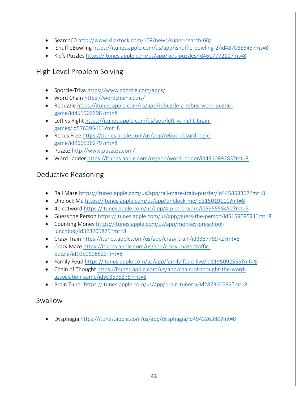- Search60 <http://www.klicktock.com/109/news/super-search-60/>
- iShuffleBowling<https://itunes.apple.com/us/app/ishuffle-bowling-2/id487088645?mt=8>
- Kid's Puzzles <https://itunes.apple.com/us/app/kids-puzzles/id461777211?mt=8>

# High Level Problem Solving

- Sporcle-Triva<https://www.sporcle.com/apps/>
- Word Chain <https://wordchain.co.nz/>
- Rebuzzle [https://itunes.apple.com/us/app/rebuzzle-a-rebus-word-puzzle](https://itunes.apple.com/us/app/rebuzzle-a-rebus-word-puzzle-game/id451903398?mt=8)[game/id451903398?mt=8](https://itunes.apple.com/us/app/rebuzzle-a-rebus-word-puzzle-game/id451903398?mt=8)
- Left vs Right [https://itunes.apple.com/us/app/left-vs-right-brain](https://itunes.apple.com/us/app/left-vs-right-brain-games/id576395411?mt=8)[games/id576395411?mt=8](https://itunes.apple.com/us/app/left-vs-right-brain-games/id576395411?mt=8)
- Rebus Free [https://itunes.apple.com/us/app/rebus-absurd-logic](https://itunes.apple.com/us/app/rebus-absurd-logic-game/id966536279?mt=8)[game/id966536279?mt=8](https://itunes.apple.com/us/app/rebus-absurd-logic-game/id966536279?mt=8)
- Puzzaz<http://www.puzzazz.com/>
- Word Ladder<https://itunes.apple.com/us/app/word-ladder/id431089283?mt=8>

# Deductive Reasoning

- Rail Maze<https://itunes.apple.com/us/app/rail-maze-train-puzzler/id445853367?mt=8>
- Unblock Me<https://itunes.apple.com/us/app/unblock-me/id315019111?mt=8>
- 4pics1word<https://itunes.apple.com/us/app/4-pics-1-word/id595558452?mt=8>
- Guess the Person<https://itunes.apple.com/us/app/guess-the-person/id515909521?mt=8>
- Counting Money [https://itunes.apple.com/us/app/monkey-preschool](https://itunes.apple.com/us/app/monkey-preschool-lunchbox/id328205875?mt=8)[lunchbox/id328205875?mt=8](https://itunes.apple.com/us/app/monkey-preschool-lunchbox/id328205875?mt=8)
- Crazy Train<https://itunes.apple.com/us/app/crazy-train/id338778972?mt=8>
- Crazy Maze [https://itunes.apple.com/us/app/crazy-maze-traffic](https://itunes.apple.com/us/app/crazy-maze-traffic-puzzle/id1050608523?mt=8)[puzzle/id1050608523?mt=8](https://itunes.apple.com/us/app/crazy-maze-traffic-puzzle/id1050608523?mt=8)
- Family Feud <https://itunes.apple.com/us/app/family-feud-live/id1195092555?mt=8>
- Chain of Thought [https://itunes.apple.com/us/app/chain-of-thought-the-word](https://itunes.apple.com/us/app/chain-of-thought-the-word-association-game/id503575375?mt=8)[association-game/id503575375?mt=8](https://itunes.apple.com/us/app/chain-of-thought-the-word-association-game/id503575375?mt=8)
- Brain Tuner<https://itunes.apple.com/us/app/brain-tuner-x/id287360582?mt=8>

# Swallow

Dysphagia<https://itunes.apple.com/us/app/dysphagia/id494326380?mt=8>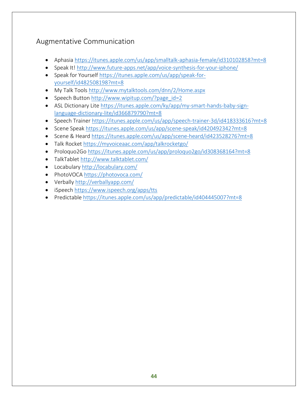# Augmentative Communication

- Aphasia <https://itunes.apple.com/us/app/smalltalk-aphasia-female/id310102858?mt=8>
- Speak It!<http://www.future-apps.net/app/voice-synthesis-for-your-iphone/>
- Speak for Yourself [https://itunes.apple.com/us/app/speak-for](https://itunes.apple.com/us/app/speak-for-yourself/id482508198?mt=8)[yourself/id482508198?mt=8](https://itunes.apple.com/us/app/speak-for-yourself/id482508198?mt=8)
- My Talk Tools<http://www.mytalktools.com/dnn/2/Home.aspx>
- Speech Button [http://www.wipitup.com/?page\\_id=2](http://www.wipitup.com/?page_id=2)
- ASL Dictionary Lite [https://itunes.apple.com/ky/app/my-smart-hands-baby-sign](https://itunes.apple.com/ky/app/my-smart-hands-baby-sign-language-dictionary-lite/id366879790?mt=8)[language-dictionary-lite/id366879790?mt=8](https://itunes.apple.com/ky/app/my-smart-hands-baby-sign-language-dictionary-lite/id366879790?mt=8)
- Speech Trainer <https://itunes.apple.com/us/app/speech-trainer-3d/id418333616?mt=8>
- Scene Speak<https://itunes.apple.com/us/app/scene-speak/id420492342?mt=8>
- Scene & Heard<https://itunes.apple.com/us/app/scene-heard/id423528276?mt=8>
- Talk Rocket<https://myvoiceaac.com/app/talkrocketgo/>
- Proloquo2Go<https://itunes.apple.com/us/app/proloquo2go/id308368164?mt=8>
- TalkTablet<http://www.talktablet.com/>
- Locabulary<http://locabulary.com/>
- PhotoVOCA <https://photovoca.com/>
- Verbally<http://verballyapp.com/>
- iSpeech<https://www.ispeech.org/apps/tts>
- Predictable<https://itunes.apple.com/us/app/predictable/id404445007?mt=8>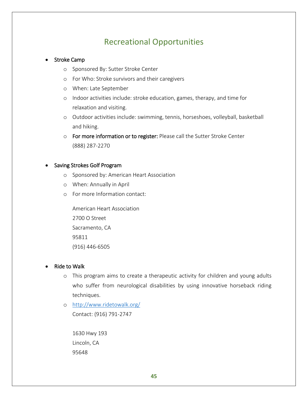# Recreational Opportunities

#### • Stroke Camp

- o Sponsored By: Sutter Stroke Center
- o For Who: Stroke survivors and their caregivers
- o When: Late September
- o Indoor activities include: stroke education, games, therapy, and time for relaxation and visiting.
- o Outdoor activities include: swimming, tennis, horseshoes, volleyball, basketball and hiking.
- o For more information or to register: Please call the Sutter Stroke Center (888) 287-2270

#### • Saving Strokes Golf Program

- o Sponsored by: American Heart Association
- o When: Annually in April
- o For more Information contact:

American Heart Association 2700 O Street Sacramento, CA 95811 (916) 446-6505

#### Ride to Walk

- o This program aims to create a therapeutic activity for children and young adults who suffer from neurological disabilities by using innovative horseback riding techniques.
- o <http://www.ridetowalk.org/> Contact: (916) 791-2747

1630 Hwy 193 Lincoln, CA 95648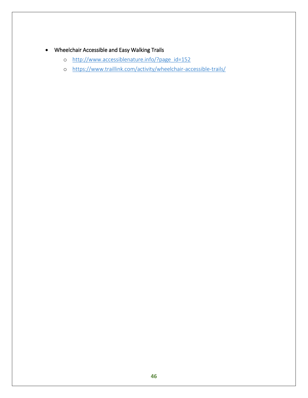- Wheelchair Accessible and Easy Walking Trails
	- o [http://www.accessiblenature.info/?page\\_id=152](http://www.accessiblenature.info/?page_id=152)
	- o <https://www.traillink.com/activity/wheelchair-accessible-trails/>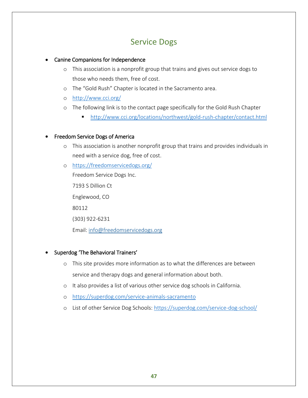# Service Dogs

# Canine Companions for Independence

- o This association is a nonprofit group that trains and gives out service dogs to those who needs them, free of cost.
- o The "Gold Rush" Chapter is located in the Sacramento area.
- o <http://www.cci.org/>
- o The following link is to the contact page specifically for the Gold Rush Chapter
	- <http://www.cci.org/locations/northwest/gold-rush-chapter/contact.html>

# Freedom Service Dogs of America

- o This association is another nonprofit group that trains and provides individuals in need with a service dog, free of cost.
- o <https://freedomservicedogs.org/> Freedom Service Dogs Inc. 7193 S Dillion Ct Englewood, CO 80112 (303) 922-6231 Email: [info@freedomservicedogs.org](mailto:info@freedomservicedogs.org)

# Superdog 'The Behavioral Trainers'

- o This site provides more information as to what the differences are between service and therapy dogs and general information about both.
- o It also provides a list of various other service dog schools in California.
- o <https://superdog.com/service-animals-sacramento>
- o List of other Service Dog Schools:<https://superdog.com/service-dog-school/>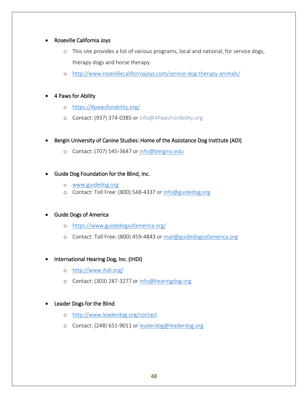## Roseville California Joys

- o This site provides a list of various programs, local and national, for service dogs, therapy dogs and horse therapy.
- o <http://www.rosevillecaliforniajoys.com/service-dog-therapy-animals/>

## 4 Paws for Ability

- o <https://4pawsforability.org/>
- o Contact: (937) 374-0385 or Info@4PawsForAbility.org
- Bergin University of Canine Studies: Home of the Assistance Dog Institute (ADI)
	- o Contact: (707) 545-3647 or [info@berginu.edu](mailto:info@berginu.edu)

# Guide Dog Foundation for the Blind, Inc.

- o [www.guidedog.org](http://www.guidedog.org/)
- o Contact: Toll Free: (800) 548-4337 or [info@guidedog.org](mailto:info@guidedog.org)

#### Guide Dogs of America

- o <https://www.guidedogsofamerica.org/>
- o Contact: Toll Free: (800) 459-4843 or [mail@guidedogsofamerica.org](mailto:mail@guidedogsofamerica.org)

# International Hearing Dog, Inc. (IHDI)

- o <http://www.ihdi.org/>
- o Contact: (303) 287-3277 or [info@hearingdog.org](mailto:info@hearingdog.org)

#### Leader Dogs for the Blind

- o <http://www.leaderdog.org/contact>
- o Contact: (248) 651-9011 or [leaderdog@leaderdog.org](mailto:leaderdog@leaderdog.org)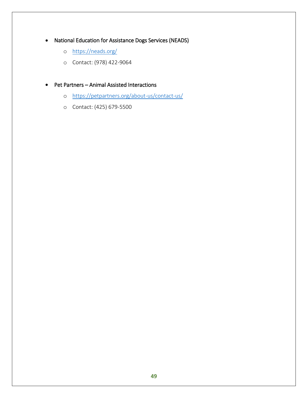- National Education for Assistance Dogs Services (NEADS)
	- o <https://neads.org/>
	- o Contact: (978) 422-9064
- Pet Partners Animal Assisted Interactions
	- o <https://petpartners.org/about-us/contact-us/>
	- o Contact: (425) 679-5500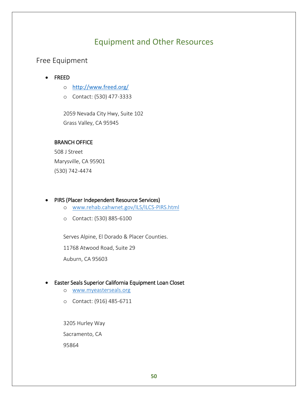# Equipment and Other Resources

Free Equipment

- FREED
	- o <http://www.freed.org/>
	- o Contact: (530) 477-3333

2059 Nevada City Hwy, Suite 102 Grass Valley, CA 95945

# BRANCH OFFICE

508 J Street Marysville, CA 95901 (530) 742-4474

#### PIRS (Placer Independent Resource Services)

- o [www.rehab.cahwnet.gov/ILS/ILCS-PIRS.html](http://www.rehab.cahwnet.gov/ILS/ILCS-PIRS.html)
- o Contact: (530) 885-6100

Serves Alpine, El Dorado & Placer Counties.

11768 Atwood Road, Suite 29

Auburn, CA 95603

# Easter Seals Superior California Equipment Loan Closet

- o [www.myeasterseals.org](http://www.myeasterseals.org/)
- o Contact: (916) 485-6711

3205 Hurley Way Sacramento, CA 95864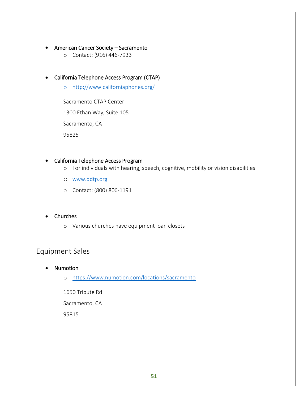#### American Cancer Society – Sacramento

- o Contact: (916) 446-7933
- California Telephone Access Program (CTAP)
	- o <http://www.californiaphones.org/>

Sacramento CTAP Center

1300 Ethan Way, Suite 105

Sacramento, CA

95825

#### California Telephone Access Program

- o For individuals with hearing, speech, cognitive, mobility or vision disabilities
- o [www.ddtp.org](http://www.ddtp.org/)
- o Contact: (800) 806-1191

## Churches

o Various churches have equipment loan closets

# Equipment Sales

- Numotion
	- o <https://www.numotion.com/locations/sacramento>

1650 Tribute Rd

Sacramento, CA

95815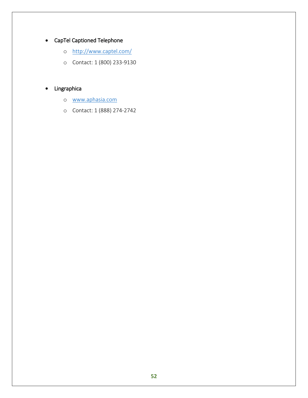# CapTel Captioned Telephone

- o <http://www.captel.com/>
- o Contact: 1 (800) 233-9130

# **•** Lingraphica

- o [www.aphasia.com](http://www.aphasia.com/)
- o Contact: 1 (888) 274-2742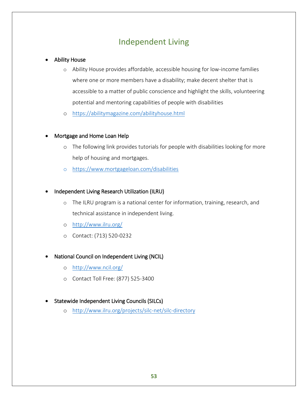# Independent Living

## Ability House

- o Ability House provides affordable, accessible housing for low-income families where one or more members have a disability; make decent shelter that is accessible to a matter of public conscience and highlight the skills, volunteering potential and mentoring capabilities of people with disabilities
- o <https://abilitymagazine.com/abilityhouse.html>
- Mortgage and Home Loan Help
	- o The following link provides tutorials for people with disabilities looking for more help of housing and mortgages.
	- o <https://www.mortgageloan.com/disabilities>

## Independent Living Research Utilization (ILRU)

- o The ILRU program is a national center for information, training, research, and technical assistance in independent living.
- o <http://www.ilru.org/>
- o Contact: (713) 520-0232

# National Council on Independent Living (NCIL)

- o <http://www.ncil.org/>
- o Contact Toll Free: (877) 525-3400
- Statewide Independent Living Councils (SILCs)
	- o <http://www.ilru.org/projects/silc-net/silc-directory>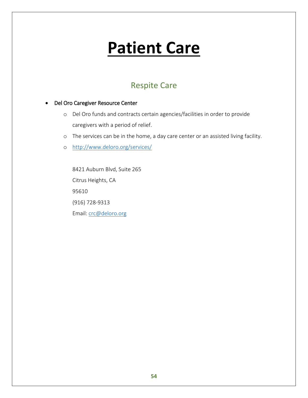# **Patient Care**

# Respite Care

# Del Oro Caregiver Resource Center

- o Del Oro funds and contracts certain agencies/facilities in order to provide caregivers with a period of relief.
- o The services can be in the home, a day care center or an assisted living facility.
- o <http://www.deloro.org/services/>

8421 Auburn Blvd, Suite 265 Citrus Heights, CA 95610 (916) 728-9313 Email: [crc@deloro.org](mailto:crc@deloro.org)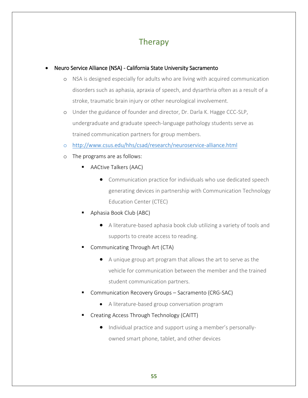# Therapy

# Neuro Service Alliance (NSA) - California State University Sacramento

- o NSA is designed especially for adults who are living with acquired communication disorders such as aphasia, apraxia of speech, and dysarthria often as a result of a stroke, traumatic brain injury or other neurological involvement.
- o Under the guidance of founder and director, Dr. Darla K. Hagge CCC-SLP, undergraduate and graduate speech-language pathology students serve as trained communication partners for group members.
- o <http://www.csus.edu/hhs/csad/research/neuroservice-alliance.html>
- o The programs are as follows:
	- AACtive Talkers (AAC)
		- Communication practice for individuals who use dedicated speech generating devices in partnership with Communication Technology Education Center (CTEC)
	- Aphasia Book Club (ABC)
		- A literature-based aphasia book club utilizing a variety of tools and supports to create access to reading.
	- Communicating Through Art (CTA)
		- A unique group art program that allows the art to serve as the vehicle for communication between the member and the trained student communication partners.
	- Communication Recovery Groups Sacramento (CRG-SAC)
		- A literature-based group conversation program
	- Creating Access Through Technology (CAITT)
		- Individual practice and support using a member's personallyowned smart phone, tablet, and other devices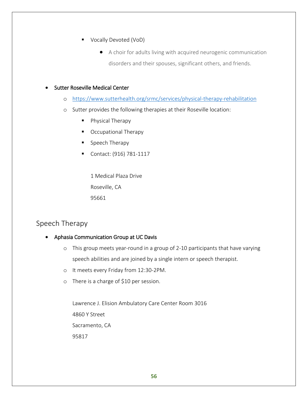- Vocally Devoted (VoD)
	- A choir for adults living with acquired neurogenic communication disorders and their spouses, significant others, and friends.

#### Sutter Roseville Medical Center

- o <https://www.sutterhealth.org/srmc/services/physical-therapy-rehabilitation>
- o Sutter provides the following therapies at their Roseville location:
	- **Physical Therapy**
	- **C** Occupational Therapy
	- Speech Therapy
	- Contact: (916) 781-1117

1 Medical Plaza Drive Roseville, CA 95661

# Speech Therapy

# Aphasia Communication Group at UC Davis

- o This group meets year-round in a group of 2-10 participants that have varying speech abilities and are joined by a single intern or speech therapist.
- o It meets every Friday from 12:30-2PM.
- o There is a charge of \$10 per session.

Lawrence J. Elision Ambulatory Care Center Room 3016 4860 Y Street Sacramento, CA 95817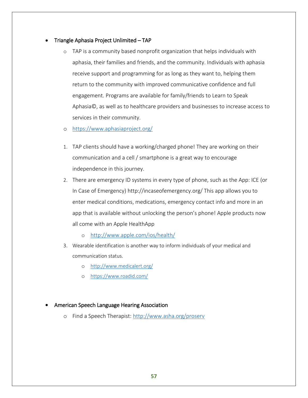- Triangle Aphasia Project Unlimited TAP
	- o TAP is a community based nonprofit organization that helps individuals with aphasia, their families and friends, and the community. Individuals with aphasia receive support and programming for as long as they want to, helping them return to the community with improved communicative confidence and full engagement. Programs are available for family/friends to Learn to Speak Aphasia©, as well as to healthcare providers and businesses to increase access to services in their community.
	- o <https://www.aphasiaproject.org/>
	- 1. TAP clients should have a working/charged phone! They are working on their communication and a cell / smartphone is a great way to encourage independence in this journey.
	- 2. There are emergency ID systems in every type of phone, such as the App: ICE (or In Case of Emergency) http://incaseofemergency.org/ This app allows you to enter medical conditions, medications, emergency contact info and more in an app that is available without unlocking the person's phone! Apple products now all come with an Apple HealthApp
		- o <http://www.apple.com/ios/health/>
	- 3. Wearable identification is another way to inform individuals of your medical and communication status.
		- o <http://www.medicalert.org/>
		- o <https://www.roadid.com/>

#### American Speech Language Hearing Association

o Find a Speech Therapist:<http://www.asha.org/proserv>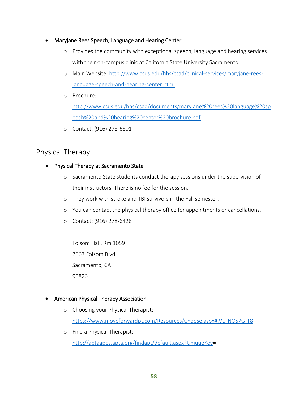- Maryjane Rees Speech, Language and Hearing Center
	- o Provides the community with exceptional speech, language and hearing services with their on-campus clinic at California State University Sacramento.
	- o Main Website: [http://www.csus.edu/hhs/csad/clinical-services/maryjane-rees](http://www.csus.edu/hhs/csad/clinical-services/maryjane-rees-language-speech-and-hearing-center.html)[language-speech-and-hearing-center.html](http://www.csus.edu/hhs/csad/clinical-services/maryjane-rees-language-speech-and-hearing-center.html)
	- o Brochure: [http://www.csus.edu/hhs/csad/documents/maryjane%20rees%20language%20sp](http://www.csus.edu/hhs/csad/documents/maryjane%20rees%20language%20speech%20and%20hearing%20center%20brochure.pdf) [eech%20and%20hearing%20center%20brochure.pdf](http://www.csus.edu/hhs/csad/documents/maryjane%20rees%20language%20speech%20and%20hearing%20center%20brochure.pdf)
	- o Contact: (916) 278-6601

# Physical Therapy

- Physical Therapy at Sacramento State
	- o Sacramento State students conduct therapy sessions under the supervision of their instructors. There is no fee for the session.
	- o They work with stroke and TBI survivors in the Fall semester.
	- o You can contact the physical therapy office for appointments or cancellations.
	- o Contact: (916) 278-6426

Folsom Hall, Rm 1059 7667 Folsom Blvd.

Sacramento, CA

95826

# American Physical Therapy Association

- o Choosing your Physical Therapist: [https://www.moveforwardpt.com/Resources/Choose.aspx#.VL\\_NOS7G-T8](https://www.moveforwardpt.com/Resources/Choose.aspx#.VL_NOS7G-T8)
- o Find a Physical Therapist: [http://aptaapps.apta.org/findapt/default.aspx?UniqueKey=](http://aptaapps.apta.org/findapt/default.aspx?UniqueKey)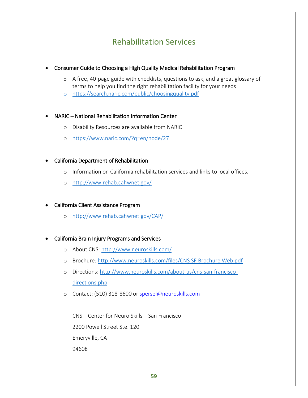# Rehabilitation Services

## Consumer Guide to Choosing a High Quality Medical Rehabilitation Program

- o A free, 40-page guide with checklists, questions to ask, and a great glossary of terms to help you find the right rehabilitation facility for your needs
- o <https://search.naric.com/public/choosingquality.pdf>

# NARIC – National Rehabilitation Information Center

- o Disability Resources are available from NARIC
- o <https://www.naric.com/?q=en/node/27>

## California Department of Rehabilitation

- o Information on California rehabilitation services and links to local offices.
- o <http://www.rehab.cahwnet.gov/>

#### California Client Assistance Program

- o [http://www.rehab.cahwnet.gov/CAP/](http://www.rehab.cahwnet.gov/cap/)
- California Brain Injury Programs and Services
	- o About CNS:<http://www.neuroskills.com/>
	- o Brochure: [http://www.neuroskills.com/files/CNS SF Brochure Web.pdf](http://www.neuroskills.com/files/CNS%20SF%20Brochure%20Web.pdf)
	- o Directions: [http://www.neuroskills.com/about-us/cns-san-francisco](http://www.neuroskills.com/about-us/cns-san-francisco-directions.php)[directions.php](http://www.neuroskills.com/about-us/cns-san-francisco-directions.php)
	- o Contact: (510) 318-8600 or spersel@neuroskills.com

CNS – Center for Neuro Skills – San Francisco 2200 Powell Street Ste. 120 Emeryville, CA 94608